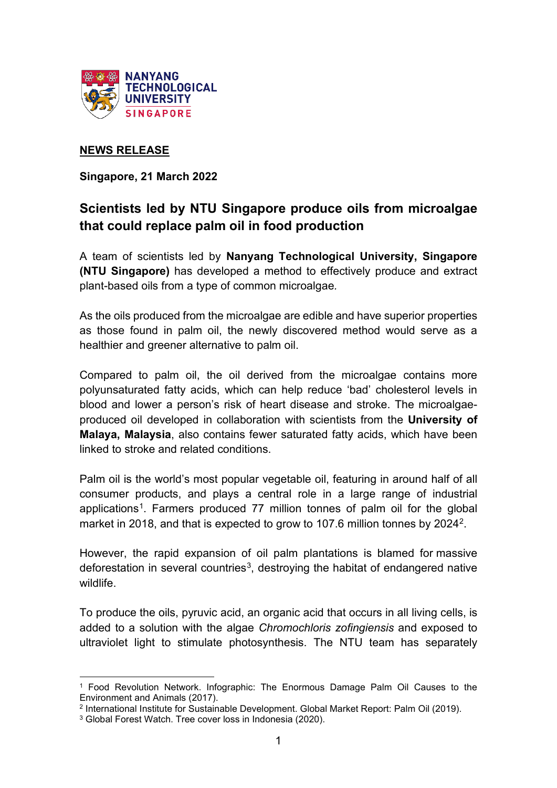

### **NEWS RELEASE**

**Singapore, 21 March 2022**

# **Scientists led by NTU Singapore produce oils from microalgae that could replace palm oil in food production**

A team of scientists led by **Nanyang Technological University, Singapore (NTU Singapore)** has developed a method to effectively produce and extract plant-based oils from a type of common microalgae*.*

As the oils produced from the microalgae are edible and have superior properties as those found in palm oil, the newly discovered method would serve as a healthier and greener alternative to palm oil.

Compared to palm oil, the oil derived from the microalgae contains more polyunsaturated fatty acids, which can help reduce 'bad' cholesterol levels in blood and lower a person's risk of heart disease and stroke. The microalgaeproduced oil developed in collaboration with scientists from the **University of Malaya, Malaysia**, also contains fewer saturated fatty acids, which have been linked to stroke and related conditions.

Palm oil is the world's most popular vegetable oil, featuring in around half of all consumer products, and plays a central role in a large range of industrial applications<sup>[1](#page-0-0)</sup>. Farmers produced 77 million tonnes of palm oil for the global market in 2018, and that is expected to grow to 107.6 million tonnes by 2024<sup>2</sup>.

However, the rapid expansion of oil palm plantations is blamed for [massive](http://www.europarl.europa.eu/doceo/document/A-8-2017-0066_EN.html)  deforestation in [several countries](http://www.europarl.europa.eu/doceo/document/A-8-2017-0066_EN.html)<sup>[3](#page-0-2)</sup>, destroying the habitat of endangered native wildlife.

To produce the oils, pyruvic acid, an organic acid that occurs in all living cells, is added to a solution with the algae *Chromochloris zofingiensis* and exposed to ultraviolet light to stimulate photosynthesis. The NTU team has separately

<span id="page-0-0"></span><sup>1</sup> Food Revolution Network. Infographic: The Enormous Damage Palm Oil Causes to the Environment and Animals (2017).

<span id="page-0-1"></span><sup>2</sup> International Institute for Sustainable Development. Global Market Report: Palm Oil (2019).

<span id="page-0-2"></span><sup>3</sup> Global Forest Watch. Tree cover loss in Indonesia (2020).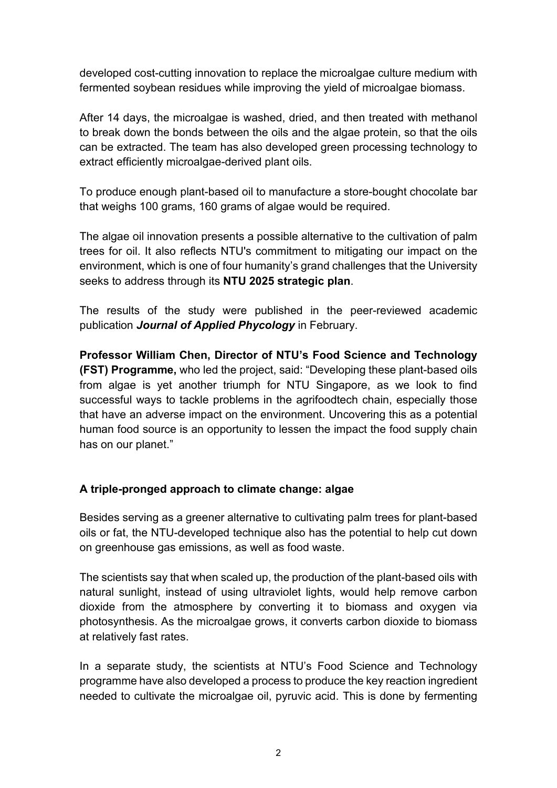developed cost-cutting innovation to replace the microalgae culture medium with fermented soybean residues while improving the yield of microalgae biomass.

After 14 days, the microalgae is washed, dried, and then treated with methanol to break down the bonds between the oils and the algae protein, so that the oils can be extracted. The team has also developed green processing technology to extract efficiently microalgae-derived plant oils.

To produce enough plant-based oil to manufacture a store-bought chocolate bar that weighs 100 grams, 160 grams of algae would be required.

The algae oil innovation presents a possible alternative to the cultivation of palm trees for oil. It also reflects NTU's commitment to mitigating our impact on the environment, which is one of four humanity's grand challenges that the University seeks to address through its **NTU 2025 strategic plan**.

The results of the study were published in the peer-reviewed academic publication *Journal of Applied Phycology* in February.

**Professor William Chen, Director of NTU's Food Science and Technology (FST) Programme,** who led the project, said: "Developing these plant-based oils from algae is yet another triumph for NTU Singapore, as we look to find successful ways to tackle problems in the agrifoodtech chain, especially those that have an adverse impact on the environment. Uncovering this as a potential human food source is an opportunity to lessen the impact the food supply chain has on our planet."

## **A triple-pronged approach to climate change: algae**

Besides serving as a greener alternative to cultivating palm trees for plant-based oils or fat, the NTU-developed technique also has the potential to help cut down on greenhouse gas emissions, as well as food waste.

The scientists say that when scaled up, the production of the plant-based oils with natural sunlight, instead of using ultraviolet lights, would help remove carbon dioxide from the atmosphere by converting it to biomass and oxygen via photosynthesis. As the microalgae grows, it converts carbon dioxide to biomass at relatively fast rates.

In a separate study, the scientists at NTU's Food Science and Technology programme have also developed a process to produce the key reaction ingredient needed to cultivate the microalgae oil, pyruvic acid. This is done by fermenting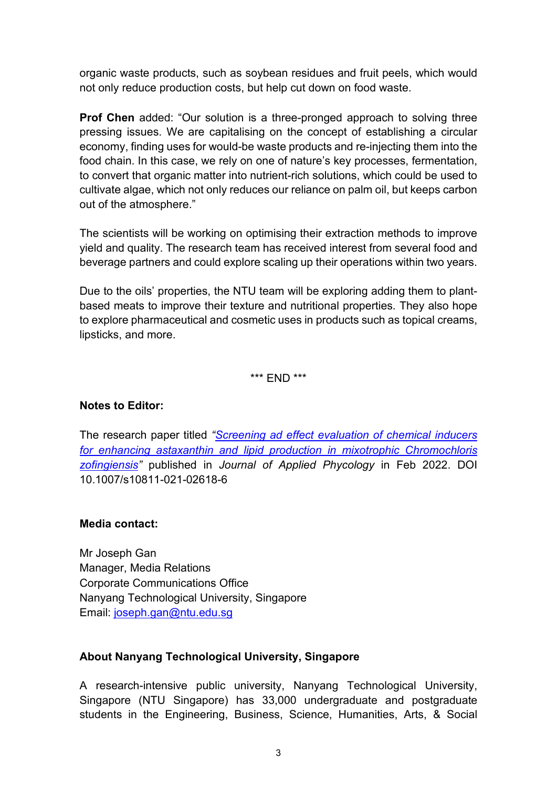organic waste products, such as soybean residues and fruit peels, which would not only reduce production costs, but help cut down on food waste.

**Prof Chen** added: "Our solution is a three-pronged approach to solving three pressing issues. We are capitalising on the concept of establishing a circular economy, finding uses for would-be waste products and re-injecting them into the food chain. In this case, we rely on one of nature's key processes, fermentation, to convert that organic matter into nutrient-rich solutions, which could be used to cultivate algae, which not only reduces our reliance on palm oil, but keeps carbon out of the atmosphere."

The scientists will be working on optimising their extraction methods to improve yield and quality. The research team has received interest from several food and beverage partners and could explore scaling up their operations within two years.

Due to the oils' properties, the NTU team will be exploring adding them to plantbased meats to improve their texture and nutritional properties. They also hope to explore pharmaceutical and cosmetic uses in products such as topical creams, lipsticks, and more.

\*\*\* END \*\*\*

#### **Notes to Editor:**

The research paper titled *["Screening ad effect evaluation of chemical inducers](https://www3.ntu.edu.sg/CorpComms2/Releases/NR2022/NR_220303_algaefat/lipids.pdf)  [for enhancing astaxanthin and lipid production in mixotrophic Chromochloris](https://www3.ntu.edu.sg/CorpComms2/Releases/NR2022/NR_220303_algaefat/lipids.pdf)  [zofingiensis"](https://www3.ntu.edu.sg/CorpComms2/Releases/NR2022/NR_220303_algaefat/lipids.pdf)* published in *Journal of Applied Phycology* in Feb 2022. DOI 10.1007/s10811-021-02618-6

#### **Media contact:**

Mr Joseph Gan Manager, Media Relations Corporate Communications Office Nanyang Technological University, Singapore Email: [joseph.gan@ntu.edu.sg](mailto:joseph.gan@ntu.edu.sg)

#### **About Nanyang Technological University, Singapore**

A research-intensive public university, Nanyang Technological University, Singapore (NTU Singapore) has 33,000 undergraduate and postgraduate students in the Engineering, Business, Science, Humanities, Arts, & Social